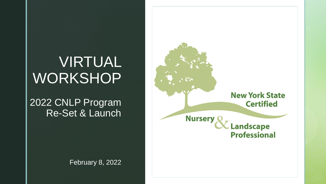### VIRTUAL WORKSHOP

#### 2022 CNLP Program Re-Set & Launch

February 8, 2022

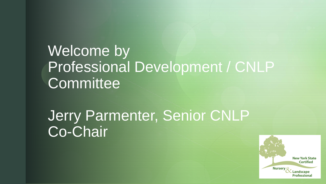## Welcome by Professional Development / CNLP **Committee**

Jerry Parmenter, Senior CNLP Co-Chair

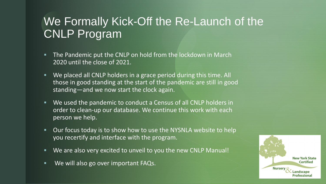#### We Formally Kick-Off the Re-Launch of the CNLP Program

- **The Pandemic put the CNLP on hold from the lockdown in March** 2020 until the close of 2021.
- We placed all CNLP holders in a grace period during this time. All those in good standing at the start of the pandemic are still in good standing—and we now start the clock again.
- We used the pandemic to conduct a Census of all CNLP holders in order to clean-up our database. We continue this work with each person we help.
- Our focus today is to show how to use the NYSNLA website to help you recertify and interface with the program.
- We are also very excited to unveil to you the new CNLP Manual!
- We will also go over important FAQs.

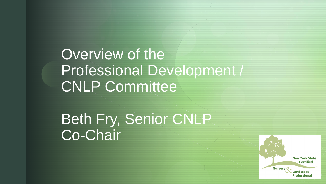z Overview of the Professional Development / CNLP Committee

Beth Fry, Senior CNLP Co-Chair

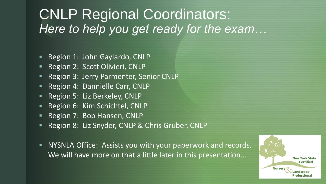#### CNLP Regional Coordinators: *Here to help you get ready for the exam…*

- Region 1: John Gaylardo, CNLP
- Region 2: Scott Olivieri, CNLP
- Region 3: Jerry Parmenter, Senior CNLP
- Region 4: Dannielle Carr, CNLP
- Region 5: Liz Berkeley, CNLP
- Region 6: Kim Schichtel, CNLP
- Region 7: Bob Hansen, CNLP
- Region 8: Liz Snyder, CNLP & Chris Gruber, CNLP
- NYSNLA Office: Assists you with your paperwork and records. We will have more on that a little later in this presentation...

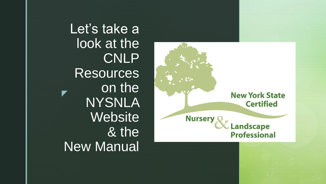z Let's take a look at the CNLP **Resources** on the NYSNLA **Website** & the New Manual

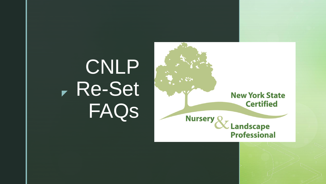# z Re-Set CNLP FAQs

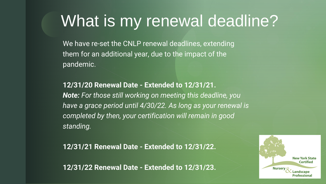# What is my renewal deadline?

We have re-set the CNLP renewal deadlines, extending them for an additional year, due to the impact of the pandemic.

**12/31/20 Renewal Date - Extended to 12/31/21.** *Note: For those still working on meeting this deadline, you have a grace period until 4/30/22. As long as your renewal is completed by then, your certification will remain in good standing.*

**12/31/21 Renewal Date - Extended to 12/31/22.**

**12/31/22 Renewal Date - Extended to 12/31/23.**

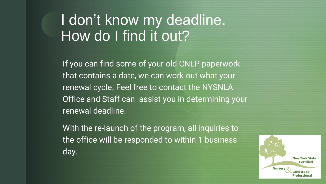#### I don't know my deadline. How do I find it out?

If you can find some of your old CNLP paperwork that contains a date, we can work out what your renewal cycle. Feel free to contact the NYSNLA Office and Staff can assist you in determining your renewal deadline.

With the re-launch of the program, all inquiries to the office will be responded to within 1 business day.

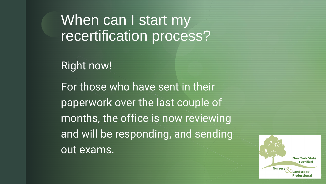When can I start my recertification process?

Right now!

For those who have sent in their paperwork over the last couple of months, the office is now reviewing and will be responding, and sending out exams.

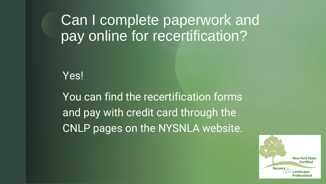### Can I complete paperwork and pay online for recertification?

Yes!

You can find the recertification forms and pay with credit card through the CNLP pages on the NYSNLA website.

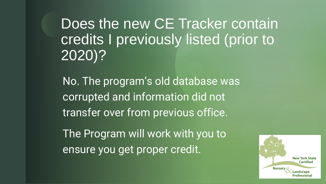Does the new CE Tracker contain credits I previously listed (prior to 2020)?

No. The program's old database was corrupted and information did not transfer over from previous office.

The Program will work with you to ensure you get proper credit.

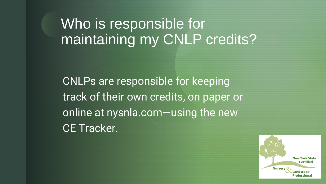### Who is responsible for maintaining my CNLP credits?

CNLPs are responsible for keeping track of their own credits, on paper or online at nysnla.com—using the new CE Tracker.

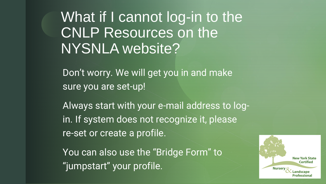What if I cannot log-in to the CNLP Resources on the NYSNLA website?

Don't worry. We will get you in and make sure you are set-up!

Always start with your e-mail address to login. If system does not recognize it, please re-set or create a profile.

You can also use the "Bridge Form" to "jumpstart" your profile.

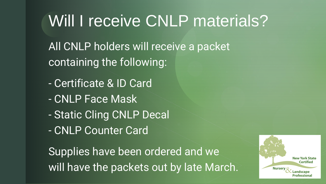# Will I receive CNLP materials?

All CNLP holders will receive a packet containing the following:

- Certificate & ID Card
- CNLP Face Mask
- Static Cling CNLP Decal
- CNLP Counter Card

Supplies have been ordered and we will have the packets out by late March.

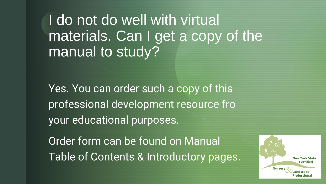### I do not do well with virtual materials. Can I get a copy of the manual to study?

Yes. You can order such a copy of this professional development resource fro your educational purposes.

Order form can be found on Manual Table of Contents & Introductory pages.

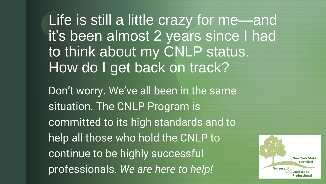Life is still a little crazy for me-and it's been almost 2 years since I had to think about my CNLP status. How do I get back on track? Don't worry. We've all been in the same situation. The CNLP Program is committed to its high standards and to help all those who hold the CNLP to continue to be highly successful professionals. *We are here to help!* **Nursery** 

**New York State Certified** 

Professional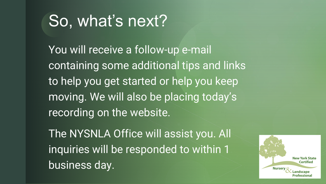# So, what's next?

You will receive a follow-up e-mail containing some additional tips and links to help you get started or help you keep moving. We will also be placing today's recording on the website.

The NYSNLA Office will assist you. All inquiries will be responded to within 1 business day.